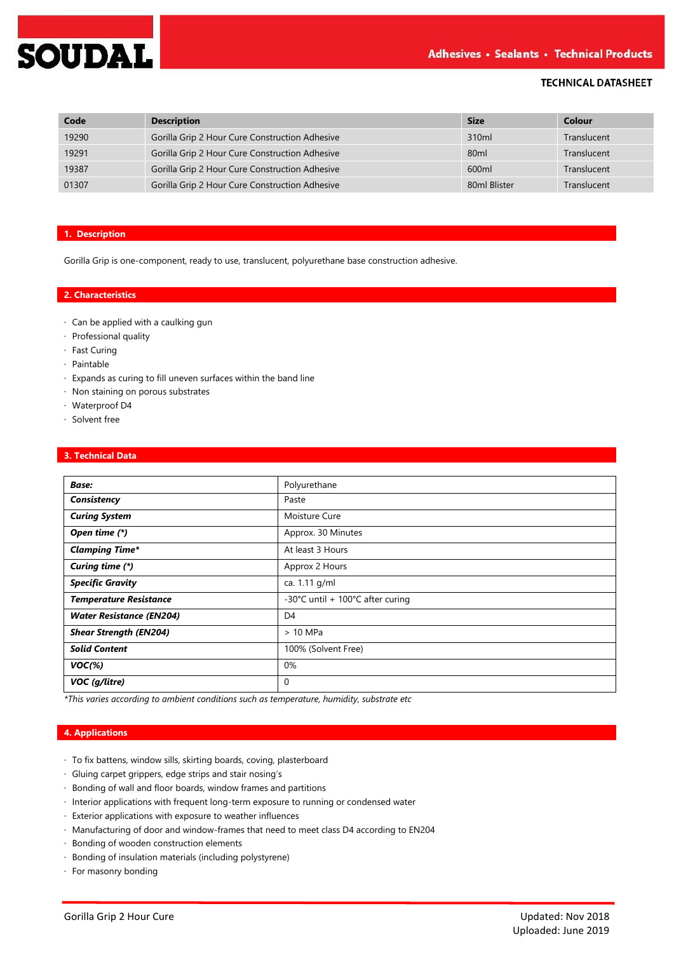

# **TECHNICAL DATASHEET**

| Code  | <b>Description</b>                             | <b>Size</b>       | Colour      |
|-------|------------------------------------------------|-------------------|-------------|
| 19290 | Gorilla Grip 2 Hour Cure Construction Adhesive | 310 <sub>ml</sub> | Translucent |
| 19291 | Gorilla Grip 2 Hour Cure Construction Adhesive | 80 <sub>ml</sub>  | Translucent |
| 19387 | Gorilla Grip 2 Hour Cure Construction Adhesive | 600ml             | Translucent |
| 01307 | Gorilla Grip 2 Hour Cure Construction Adhesive | 80ml Blister      | Translucent |

## **1. Description**

Gorilla Grip is one-component, ready to use, translucent, polyurethane base construction adhesive.

## **2. Characteristics**

- · Can be applied with a caulking gun
- · Professional quality
- · Fast Curing
- · Paintable
- · Expands as curing to fill uneven surfaces within the band line
- · Non staining on porous substrates
- · Waterproof D4
- · Solvent free

## **3. Technical Data**

| <b>Base:</b>                    | Polyurethane                     |
|---------------------------------|----------------------------------|
| Consistency                     | Paste                            |
| <b>Curing System</b>            | Moisture Cure                    |
| Open time (*)                   | Approx. 30 Minutes               |
| <b>Clamping Time*</b>           | At least 3 Hours                 |
| Curing time (*)                 | Approx 2 Hours                   |
| <b>Specific Gravity</b>         | ca. 1.11 g/ml                    |
| <b>Temperature Resistance</b>   | -30°C until + 100°C after curing |
| <b>Water Resistance (EN204)</b> | D <sub>4</sub>                   |
| <b>Shear Strength (EN204)</b>   | $>10$ MPa                        |
| <b>Solid Content</b>            | 100% (Solvent Free)              |
| $VOC(\%)$                       | 0%                               |
| VOC (g/litre)                   | $\mathbf 0$                      |

*\*This varies according to ambient conditions such as temperature, humidity, substrate etc*

## **4. Applications**

- · To fix battens, window sills, skirting boards, coving, plasterboard
- · Gluing carpet grippers, edge strips and stair nosing's
- · Bonding of wall and floor boards, window frames and partitions
- · Interior applications with frequent long-term exposure to running or condensed water
- · Exterior applications with exposure to weather influences
- · Manufacturing of door and window-frames that need to meet class D4 according to EN204
- · Bonding of wooden construction elements
- · Bonding of insulation materials (including polystyrene)
- · For masonry bonding